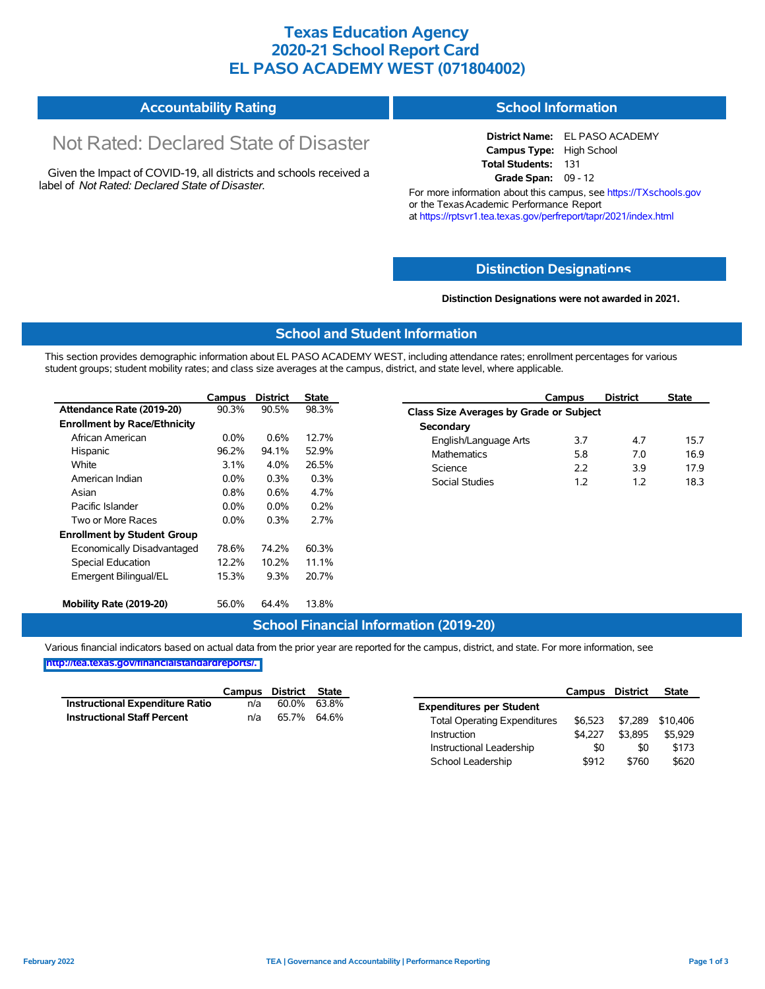## **Texas Education Agency 2020-21 School Report Card EL PASO ACADEMY WEST (071804002)**

#### **Accountability Rating School Information**

# Not Rated: Declared State of Disaster

Given the Impact of COVID-19, all districts and schools received a label of *Not Rated: Declared State of Disaster.*

**District Name:** EL PASO ACADEMY **Campus Type:** High School **Total Students:** 131 **Grade Span:** 09 - 12

For more information about this campus, see https://TXschools.gov or the Texas Academic Performance Report at https://rptsvr1.tea.texas.gov/perfreport/tapr/2021/index.html

#### **Distinction Designat[ions](https://TXschools.gov)**

**Distinction Designations were not awarded in 2021.**

School Leadership  $$912$  \$760 \$620

#### **School and Student Information**

This section provides demographic information about EL PASO ACADEMY WEST, including attendance rates; enrollment percentages for various student groups; student mobility rates; and class size averages at the campus, district, and state level, where applicable.

|                                     | Campus  | <b>District</b> | <b>State</b> | <b>District</b><br>Campus               | <b>State</b> |
|-------------------------------------|---------|-----------------|--------------|-----------------------------------------|--------------|
| Attendance Rate (2019-20)           | 90.3%   | 90.5%           | 98.3%        | Class Size Averages by Grade or Subject |              |
| <b>Enrollment by Race/Ethnicity</b> |         |                 |              | Secondary                               |              |
| African American                    | $0.0\%$ | 0.6%            | 12.7%        | 3.7<br>4.7<br>English/Language Arts     | 15.7         |
| Hispanic                            | 96.2%   | 94.1%           | 52.9%        | 5.8<br><b>Mathematics</b><br>7.0        | 16.9         |
| White                               | 3.1%    | 4.0%            | 26.5%        | 2.2<br>Science<br>3.9                   | 17.9         |
| American Indian                     | $0.0\%$ | 0.3%            | 0.3%         | 1.2<br>1.2<br>Social Studies            | 18.3         |
| Asian                               | 0.8%    | 0.6%            | 4.7%         |                                         |              |
| Pacific Islander                    | $0.0\%$ | $0.0\%$         | 0.2%         |                                         |              |
| Two or More Races                   | $0.0\%$ | 0.3%            | 2.7%         |                                         |              |
| <b>Enrollment by Student Group</b>  |         |                 |              |                                         |              |
| Economically Disadvantaged          | 78.6%   | 74.2%           | 60.3%        |                                         |              |
| Special Education                   | 12.2%   | 10.2%           | 11.1%        |                                         |              |
| Emergent Bilingual/EL               | 15.3%   | 9.3%            | 20.7%        |                                         |              |
|                                     |         |                 |              |                                         |              |
| Mobility Rate (2019-20)             | 56.0%   | 64.4%           | 13.8%        |                                         |              |

#### **School Financial Information (2019-20)**

Various financial indicators based on actual data from the prior year are reported for the campus, district, and state. For more information, see

**[http://tea.texas.gov/financialstandardreports/.](http://tea.texas.gov/financialstandardreports/)**

|                                        | Campus | District | <b>State</b> |                                     | Campus  | <b>District</b> | <b>State</b> |
|----------------------------------------|--------|----------|--------------|-------------------------------------|---------|-----------------|--------------|
| <b>Instructional Expenditure Ratio</b> | n/a    | 60.0%    | 63.8%        | <b>Expenditures per Student</b>     |         |                 |              |
| <b>Instructional Staff Percent</b>     | n/a    | 65.7%    | 64.6%        | <b>Total Operating Expenditures</b> | \$6.523 | \$7.289         | \$10.406     |
|                                        |        |          |              | Instruction                         | \$4.227 | \$3,895         | \$5,929      |
|                                        |        |          |              | Instructional Leadership            | \$0     | \$0             | \$173        |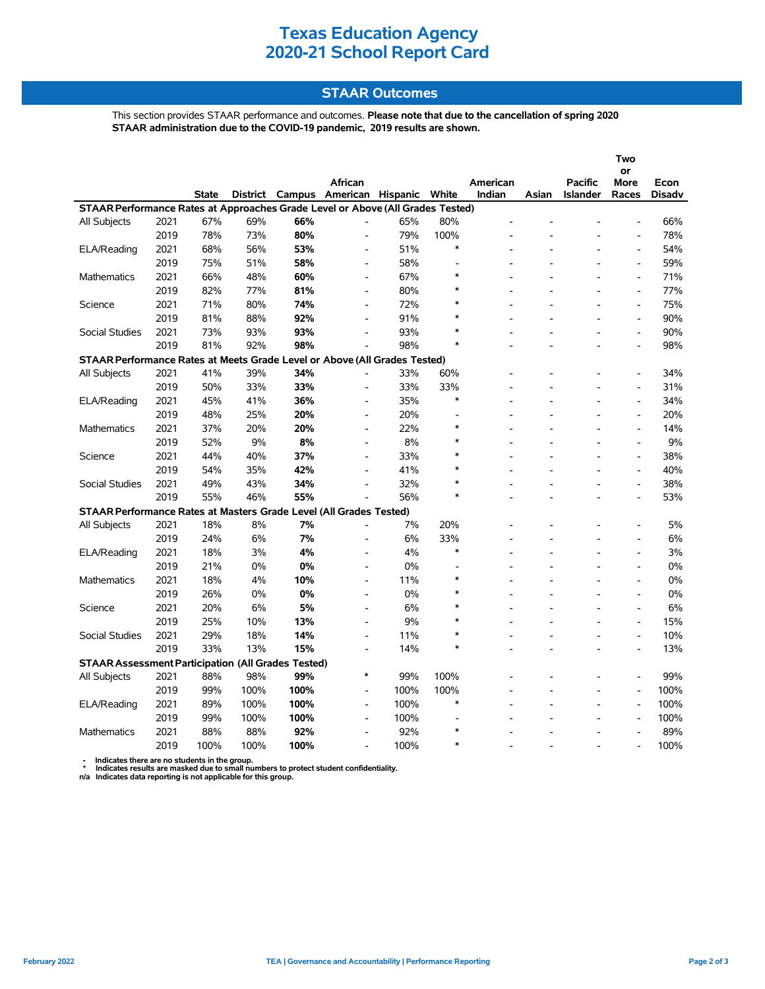# **Texas Education Agency 2020-21 School Report Card**

#### **STAAR Outcomes**

This section provides STAAR performance and outcomes. **Please note that due to the cancellation of spring 2020 STAAR administration due to the COVID-19 pandemic, 2019 results are shown.**

|                                                                                |      |       |                 |        |                              |      |        |                    |       |                     | Two                          |                |
|--------------------------------------------------------------------------------|------|-------|-----------------|--------|------------------------------|------|--------|--------------------|-------|---------------------|------------------------------|----------------|
|                                                                                |      |       |                 |        |                              |      |        |                    |       |                     | or                           |                |
|                                                                                |      | State | <b>District</b> | Campus | African<br>American Hispanic |      | White  | American<br>Indian | Asian | Pacific<br>Islander | More<br>Races                | Econ<br>Disadv |
| STAAR Performance Rates at Approaches Grade Level or Above (All Grades Tested) |      |       |                 |        |                              |      |        |                    |       |                     |                              |                |
| All Subjects                                                                   | 2021 | 67%   | 69%             | 66%    |                              | 65%  | 80%    |                    |       |                     |                              | 66%            |
|                                                                                | 2019 | 78%   | 73%             | 80%    |                              | 79%  | 100%   |                    |       |                     |                              | 78%            |
| ELA/Reading                                                                    | 2021 | 68%   | 56%             | 53%    | L,                           | 51%  | $\ast$ |                    |       |                     | $\overline{a}$               | 54%            |
|                                                                                | 2019 | 75%   | 51%             | 58%    | L,                           | 58%  |        |                    |       |                     | $\frac{1}{2}$                | 59%            |
| Mathematics                                                                    | 2021 | 66%   | 48%             | 60%    | L,                           | 67%  | *      |                    |       |                     | $\qquad \qquad \blacksquare$ | 71%            |
|                                                                                | 2019 | 82%   | 77%             | 81%    | $\overline{a}$               | 80%  | $\ast$ |                    |       |                     | ÷.                           | 77%            |
| Science                                                                        | 2021 | 71%   | 80%             | 74%    | $\blacksquare$               | 72%  | $\ast$ |                    |       |                     | $\overline{a}$               | 75%            |
|                                                                                | 2019 | 81%   | 88%             | 92%    | $\overline{\phantom{a}}$     | 91%  | $\ast$ |                    |       |                     | $\bar{\phantom{a}}$          | 90%            |
|                                                                                |      |       |                 |        |                              |      | $\ast$ |                    |       |                     |                              |                |
| <b>Social Studies</b>                                                          | 2021 | 73%   | 93%             | 93%    | $\blacksquare$               | 93%  | $\ast$ |                    |       |                     | $\overline{\phantom{a}}$     | 90%            |
|                                                                                | 2019 | 81%   | 92%             | 98%    | ÷.                           | 98%  |        |                    |       |                     |                              | 98%            |
| STAAR Performance Rates at Meets Grade Level or Above (All Grades Tested)      |      |       |                 |        |                              |      |        |                    |       |                     |                              |                |
| All Subjects                                                                   | 2021 | 41%   | 39%             | 34%    |                              | 33%  | 60%    |                    |       |                     |                              | 34%            |
|                                                                                | 2019 | 50%   | 33%             | 33%    |                              | 33%  | 33%    |                    |       |                     |                              | 31%            |
| ELA/Reading                                                                    | 2021 | 45%   | 41%             | 36%    |                              | 35%  | $\ast$ |                    |       |                     |                              | 34%            |
|                                                                                | 2019 | 48%   | 25%             | 20%    | $\overline{a}$               | 20%  |        | ٠                  |       |                     | $\blacksquare$               | 20%            |
| <b>Mathematics</b>                                                             | 2021 | 37%   | 20%             | 20%    | $\overline{\phantom{0}}$     | 22%  | $\ast$ |                    |       |                     | $\overline{\phantom{a}}$     | 14%            |
|                                                                                | 2019 | 52%   | 9%              | 8%     | $\overline{a}$               | 8%   | $\ast$ |                    |       |                     | $\overline{a}$               | 9%             |
| Science                                                                        | 2021 | 44%   | 40%             | 37%    | L,                           | 33%  | $\ast$ |                    |       |                     | $\overline{\phantom{a}}$     | 38%            |
|                                                                                | 2019 | 54%   | 35%             | 42%    | $\blacksquare$               | 41%  | $\ast$ |                    |       |                     | $\overline{\phantom{a}}$     | 40%            |
| Social Studies                                                                 | 2021 | 49%   | 43%             | 34%    | $\overline{a}$               | 32%  | $\ast$ |                    |       |                     | $\overline{a}$               | 38%            |
|                                                                                | 2019 | 55%   | 46%             | 55%    |                              | 56%  | $\ast$ |                    |       |                     | $\overline{a}$               | 53%            |
| STAAR Performance Rates at Masters Grade Level (All Grades Tested)             |      |       |                 |        |                              |      |        |                    |       |                     |                              |                |
| All Subjects                                                                   | 2021 | 18%   | 8%              | 7%     |                              | 7%   | 20%    |                    |       |                     | $\overline{a}$               | 5%             |
|                                                                                | 2019 | 24%   | 6%              | 7%     |                              | 6%   | 33%    |                    |       |                     |                              | 6%             |
| ELA/Reading                                                                    | 2021 | 18%   | 3%              | 4%     | $\overline{\phantom{a}}$     | 4%   | $\ast$ |                    |       |                     |                              | 3%             |
|                                                                                | 2019 | 21%   | 0%              | 0%     | L,                           | 0%   |        |                    |       |                     | $\frac{1}{2}$                | 0%             |
| <b>Mathematics</b>                                                             | 2021 | 18%   | 4%              | 10%    | L,                           | 11%  | $\ast$ |                    |       |                     | $\overline{a}$               | 0%             |
|                                                                                | 2019 | 26%   | 0%              | 0%     | $\overline{\phantom{a}}$     | 0%   | *      |                    |       |                     | $\overline{a}$               | 0%             |
| Science                                                                        | 2021 | 20%   | 6%              | 5%     | $\overline{\phantom{a}}$     | 6%   | $\ast$ |                    |       |                     | $\overline{\phantom{a}}$     | 6%             |
|                                                                                | 2019 | 25%   | 10%             | 13%    | $\overline{a}$               | 9%   | $\ast$ |                    |       |                     | $\overline{\phantom{a}}$     | 15%            |
| <b>Social Studies</b>                                                          | 2021 | 29%   | 18%             | 14%    | $\blacksquare$               | 11%  | $\ast$ |                    |       |                     | $\overline{a}$               | 10%            |
|                                                                                | 2019 | 33%   | 13%             | 15%    | $\overline{a}$               | 14%  | $\ast$ |                    |       |                     | $\overline{a}$               | 13%            |
| <b>STAAR Assessment Participation (All Grades Tested)</b>                      |      |       |                 |        |                              |      |        |                    |       |                     |                              |                |
| All Subjects                                                                   | 2021 | 88%   | 98%             | 99%    | $\ast$                       | 99%  | 100%   |                    |       |                     | $\overline{a}$               | 99%            |
|                                                                                | 2019 | 99%   | 100%            | 100%   | $\blacksquare$               | 100% | 100%   |                    |       |                     | $\overline{a}$               | 100%           |
| ELA/Reading                                                                    | 2021 | 89%   | 100%            | 100%   | $\blacksquare$               | 100% | $\ast$ |                    |       |                     | $\overline{a}$               | 100%           |
|                                                                                | 2019 | 99%   | 100%            | 100%   | $\overline{a}$               | 100% |        |                    |       |                     |                              | 100%           |
| Mathematics                                                                    | 2021 | 88%   | 88%             | 92%    | $\blacksquare$               | 92%  | $\ast$ |                    |       |                     | $\overline{a}$               | 89%            |
|                                                                                | 2019 | 100%  | 100%            | 100%   |                              | 100% | $\ast$ |                    |       |                     |                              | 100%           |

 **- Indicates there are no students in the group. \* Indicates results are masked due to small numbers to protect student confidentiality.**

**n/a Indicates data reporting is not applicable for this group.**